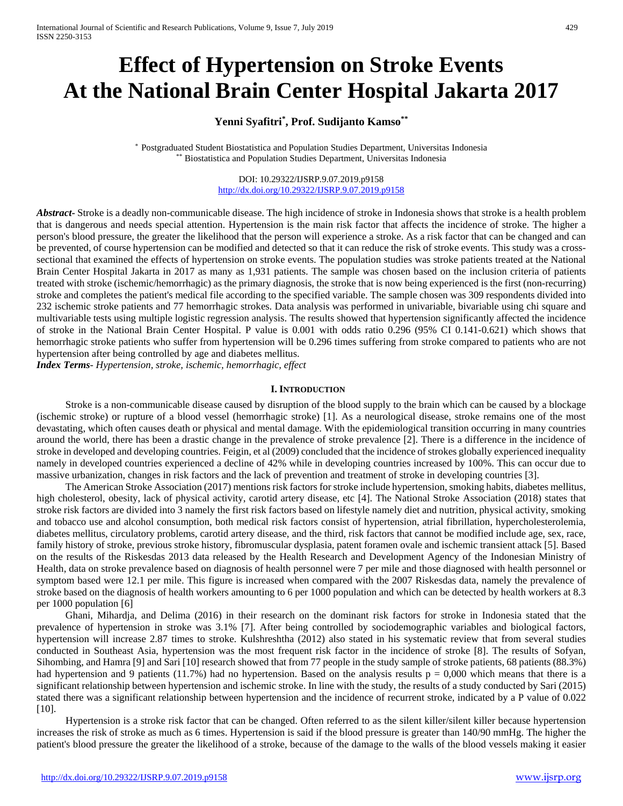# **Effect of Hypertension on Stroke Events At the National Brain Center Hospital Jakarta 2017**

## **Yenni Syafitri\* , Prof. Sudijanto Kamso\*\***

\* Postgraduated Student Biostatistica and Population Studies Department, Universitas Indonesia \*\* Biostatistica and Population Studies Department, Universitas Indonesia

> DOI: 10.29322/IJSRP.9.07.2019.p9158 <http://dx.doi.org/10.29322/IJSRP.9.07.2019.p9158>

*Abstract***-** Stroke is a deadly non-communicable disease. The high incidence of stroke in Indonesia shows that stroke is a health problem that is dangerous and needs special attention. Hypertension is the main risk factor that affects the incidence of stroke. The higher a person's blood pressure, the greater the likelihood that the person will experience a stroke. As a risk factor that can be changed and can be prevented, of course hypertension can be modified and detected so that it can reduce the risk of stroke events. This study was a crosssectional that examined the effects of hypertension on stroke events. The population studies was stroke patients treated at the National Brain Center Hospital Jakarta in 2017 as many as 1,931 patients. The sample was chosen based on the inclusion criteria of patients treated with stroke (ischemic/hemorrhagic) as the primary diagnosis, the stroke that is now being experienced is the first (non-recurring) stroke and completes the patient's medical file according to the specified variable. The sample chosen was 309 respondents divided into 232 ischemic stroke patients and 77 hemorrhagic strokes. Data analysis was performed in univariable, bivariable using chi square and multivariable tests using multiple logistic regression analysis. The results showed that hypertension significantly affected the incidence of stroke in the National Brain Center Hospital. P value is 0.001 with odds ratio 0.296 (95% CI 0.141-0.621) which shows that hemorrhagic stroke patients who suffer from hypertension will be 0.296 times suffering from stroke compared to patients who are not hypertension after being controlled by age and diabetes mellitus.

*Index Terms*- *Hypertension, stroke, ischemic, hemorrhagic, effect*

## **I. INTRODUCTION**

Stroke is a non-communicable disease caused by disruption of the blood supply to the brain which can be caused by a blockage (ischemic stroke) or rupture of a blood vessel (hemorrhagic stroke) [1]. As a neurological disease, stroke remains one of the most devastating, which often causes death or physical and mental damage. With the epidemiological transition occurring in many countries around the world, there has been a drastic change in the prevalence of stroke prevalence [2]. There is a difference in the incidence of stroke in developed and developing countries. Feigin, et al (2009) concluded that the incidence of strokes globally experienced inequality namely in developed countries experienced a decline of 42% while in developing countries increased by 100%. This can occur due to massive urbanization, changes in risk factors and the lack of prevention and treatment of stroke in developing countries [3].

The American Stroke Association (2017) mentions risk factors for stroke include hypertension, smoking habits, diabetes mellitus, high cholesterol, obesity, lack of physical activity, carotid artery disease, etc [4]. The National Stroke Association (2018) states that stroke risk factors are divided into 3 namely the first risk factors based on lifestyle namely diet and nutrition, physical activity, smoking and tobacco use and alcohol consumption, both medical risk factors consist of hypertension, atrial fibrillation, hypercholesterolemia, diabetes mellitus, circulatory problems, carotid artery disease, and the third, risk factors that cannot be modified include age, sex, race, family history of stroke, previous stroke history, fibromuscular dysplasia, patent foramen ovale and ischemic transient attack [5]. Based on the results of the Riskesdas 2013 data released by the Health Research and Development Agency of the Indonesian Ministry of Health, data on stroke prevalence based on diagnosis of health personnel were 7 per mile and those diagnosed with health personnel or symptom based were 12.1 per mile. This figure is increased when compared with the 2007 Riskesdas data, namely the prevalence of stroke based on the diagnosis of health workers amounting to 6 per 1000 population and which can be detected by health workers at 8.3 per 1000 population [6]

Ghani, Mihardja, and Delima (2016) in their research on the dominant risk factors for stroke in Indonesia stated that the prevalence of hypertension in stroke was 3.1% [7]. After being controlled by sociodemographic variables and biological factors, hypertension will increase 2.87 times to stroke. Kulshreshtha (2012) also stated in his systematic review that from several studies conducted in Southeast Asia, hypertension was the most frequent risk factor in the incidence of stroke [8]. The results of Sofyan, Sihombing, and Hamra [9] and Sari [10] research showed that from 77 people in the study sample of stroke patients, 68 patients (88.3%) had hypertension and 9 patients (11.7%) had no hypertension. Based on the analysis results  $p = 0.000$  which means that there is a significant relationship between hypertension and ischemic stroke. In line with the study, the results of a study conducted by Sari (2015) stated there was a significant relationship between hypertension and the incidence of recurrent stroke, indicated by a P value of 0.022 [10].

Hypertension is a stroke risk factor that can be changed. Often referred to as the silent killer/silent killer because hypertension increases the risk of stroke as much as 6 times. Hypertension is said if the blood pressure is greater than 140/90 mmHg. The higher the patient's blood pressure the greater the likelihood of a stroke, because of the damage to the walls of the blood vessels making it easier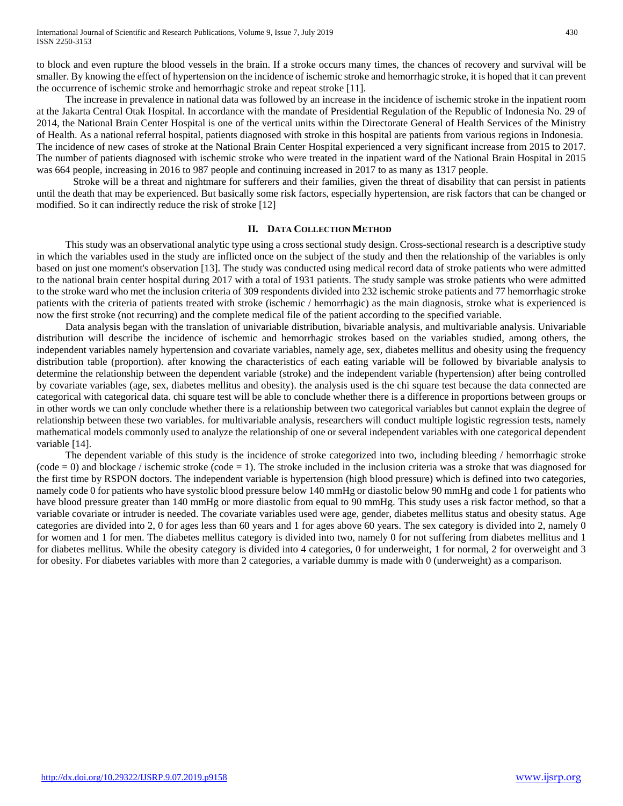to block and even rupture the blood vessels in the brain. If a stroke occurs many times, the chances of recovery and survival will be smaller. By knowing the effect of hypertension on the incidence of ischemic stroke and hemorrhagic stroke, it is hoped that it can prevent the occurrence of ischemic stroke and hemorrhagic stroke and repeat stroke [11].

The increase in prevalence in national data was followed by an increase in the incidence of ischemic stroke in the inpatient room at the Jakarta Central Otak Hospital. In accordance with the mandate of Presidential Regulation of the Republic of Indonesia No. 29 of 2014, the National Brain Center Hospital is one of the vertical units within the Directorate General of Health Services of the Ministry of Health. As a national referral hospital, patients diagnosed with stroke in this hospital are patients from various regions in Indonesia. The incidence of new cases of stroke at the National Brain Center Hospital experienced a very significant increase from 2015 to 2017. The number of patients diagnosed with ischemic stroke who were treated in the inpatient ward of the National Brain Hospital in 2015 was 664 people, increasing in 2016 to 987 people and continuing increased in 2017 to as many as 1317 people.

Stroke will be a threat and nightmare for sufferers and their families, given the threat of disability that can persist in patients until the death that may be experienced. But basically some risk factors, especially hypertension, are risk factors that can be changed or modified. So it can indirectly reduce the risk of stroke [12]

## **II. DATA COLLECTION METHOD**

This study was an observational analytic type using a cross sectional study design. Cross-sectional research is a descriptive study in which the variables used in the study are inflicted once on the subject of the study and then the relationship of the variables is only based on just one moment's observation [13]. The study was conducted using medical record data of stroke patients who were admitted to the national brain center hospital during 2017 with a total of 1931 patients. The study sample was stroke patients who were admitted to the stroke ward who met the inclusion criteria of 309 respondents divided into 232 ischemic stroke patients and 77 hemorrhagic stroke patients with the criteria of patients treated with stroke (ischemic / hemorrhagic) as the main diagnosis, stroke what is experienced is now the first stroke (not recurring) and the complete medical file of the patient according to the specified variable.

Data analysis began with the translation of univariable distribution, bivariable analysis, and multivariable analysis. Univariable distribution will describe the incidence of ischemic and hemorrhagic strokes based on the variables studied, among others, the independent variables namely hypertension and covariate variables, namely age, sex, diabetes mellitus and obesity using the frequency distribution table (proportion). after knowing the characteristics of each eating variable will be followed by bivariable analysis to determine the relationship between the dependent variable (stroke) and the independent variable (hypertension) after being controlled by covariate variables (age, sex, diabetes mellitus and obesity). the analysis used is the chi square test because the data connected are categorical with categorical data. chi square test will be able to conclude whether there is a difference in proportions between groups or in other words we can only conclude whether there is a relationship between two categorical variables but cannot explain the degree of relationship between these two variables. for multivariable analysis, researchers will conduct multiple logistic regression tests, namely mathematical models commonly used to analyze the relationship of one or several independent variables with one categorical dependent variable [14].

The dependent variable of this study is the incidence of stroke categorized into two, including bleeding / hemorrhagic stroke  $(code = 0)$  and blockage / ischemic stroke  $(code = 1)$ . The stroke included in the inclusion criteria was a stroke that was diagnosed for the first time by RSPON doctors. The independent variable is hypertension (high blood pressure) which is defined into two categories, namely code 0 for patients who have systolic blood pressure below 140 mmHg or diastolic below 90 mmHg and code 1 for patients who have blood pressure greater than 140 mmHg or more diastolic from equal to 90 mmHg. This study uses a risk factor method, so that a variable covariate or intruder is needed. The covariate variables used were age, gender, diabetes mellitus status and obesity status. Age categories are divided into 2, 0 for ages less than 60 years and 1 for ages above 60 years. The sex category is divided into 2, namely 0 for women and 1 for men. The diabetes mellitus category is divided into two, namely 0 for not suffering from diabetes mellitus and 1 for diabetes mellitus. While the obesity category is divided into 4 categories, 0 for underweight, 1 for normal, 2 for overweight and 3 for obesity. For diabetes variables with more than 2 categories, a variable dummy is made with 0 (underweight) as a comparison.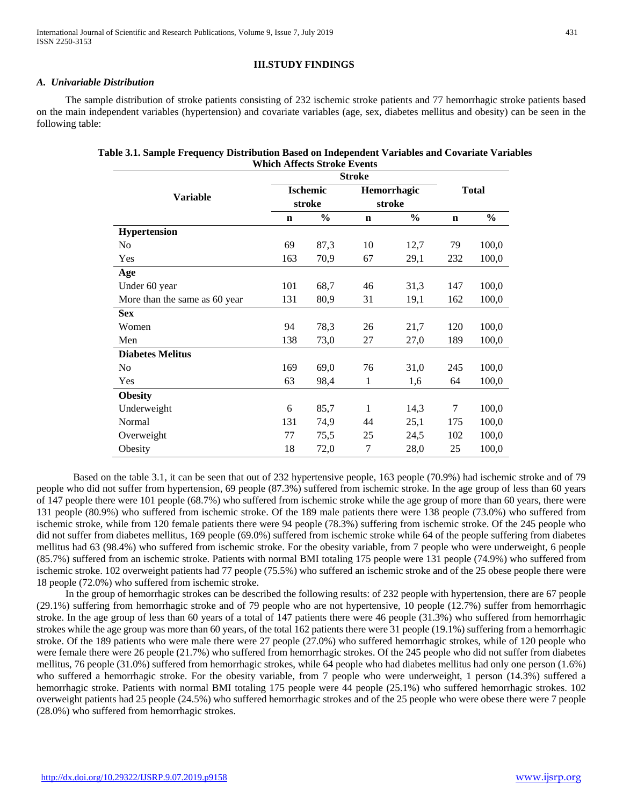International Journal of Scientific and Research Publications, Volume 9, Issue 7, July 2019 431 ISSN 2250-3153

## **III.STUDY FINDINGS**

## *A. Univariable Distribution*

The sample distribution of stroke patients consisting of 232 ischemic stroke patients and 77 hemorrhagic stroke patients based on the main independent variables (hypertension) and covariate variables (age, sex, diabetes mellitus and obesity) can be seen in the following table:

| Table 3.1. Sample Frequency Distribution Based on Independent Variables and Covariate Variables |
|-------------------------------------------------------------------------------------------------|
| <b>Which Affects Stroke Events</b>                                                              |

|                               | <b>Stroke</b>             |               |                              |               |              |               |
|-------------------------------|---------------------------|---------------|------------------------------|---------------|--------------|---------------|
| <b>Variable</b>               | <b>Ischemic</b><br>stroke |               | <b>Hemorrhagic</b><br>stroke |               | <b>Total</b> |               |
|                               | $\mathbf n$               | $\frac{0}{0}$ | $\mathbf n$                  | $\frac{0}{0}$ | $\mathbf n$  | $\frac{0}{0}$ |
| Hypertension                  |                           |               |                              |               |              |               |
| N <sub>0</sub>                | 69                        | 87,3          | 10                           | 12,7          | 79           | 100,0         |
| Yes                           | 163                       | 70,9          | 67                           | 29,1          | 232          | 100,0         |
| Age                           |                           |               |                              |               |              |               |
| Under 60 year                 | 101                       | 68,7          | 46                           | 31,3          | 147          | 100,0         |
| More than the same as 60 year | 131                       | 80,9          | 31                           | 19,1          | 162          | 100,0         |
| <b>Sex</b>                    |                           |               |                              |               |              |               |
| Women                         | 94                        | 78,3          | 26                           | 21,7          | 120          | 100,0         |
| Men                           | 138                       | 73,0          | 27                           | 27,0          | 189          | 100,0         |
| <b>Diabetes Melitus</b>       |                           |               |                              |               |              |               |
| N <sub>0</sub>                | 169                       | 69,0          | 76                           | 31,0          | 245          | 100,0         |
| Yes                           | 63                        | 98,4          | 1                            | 1,6           | 64           | 100,0         |
| <b>Obesity</b>                |                           |               |                              |               |              |               |
| Underweight                   | 6                         | 85,7          | 1                            | 14,3          | 7            | 100,0         |
| Normal                        | 131                       | 74,9          | 44                           | 25,1          | 175          | 100,0         |
| Overweight                    | 77                        | 75,5          | 25                           | 24,5          | 102          | 100,0         |
| Obesity                       | 18                        | 72,0          | 7                            | 28,0          | 25           | 100,0         |

Based on the table 3.1, it can be seen that out of 232 hypertensive people, 163 people (70.9%) had ischemic stroke and of 79 people who did not suffer from hypertension, 69 people (87.3%) suffered from ischemic stroke. In the age group of less than 60 years of 147 people there were 101 people (68.7%) who suffered from ischemic stroke while the age group of more than 60 years, there were 131 people (80.9%) who suffered from ischemic stroke. Of the 189 male patients there were 138 people (73.0%) who suffered from ischemic stroke, while from 120 female patients there were 94 people (78.3%) suffering from ischemic stroke. Of the 245 people who did not suffer from diabetes mellitus, 169 people (69.0%) suffered from ischemic stroke while 64 of the people suffering from diabetes mellitus had 63 (98.4%) who suffered from ischemic stroke. For the obesity variable, from 7 people who were underweight, 6 people (85.7%) suffered from an ischemic stroke. Patients with normal BMI totaling 175 people were 131 people (74.9%) who suffered from ischemic stroke. 102 overweight patients had 77 people (75.5%) who suffered an ischemic stroke and of the 25 obese people there were 18 people (72.0%) who suffered from ischemic stroke.

In the group of hemorrhagic strokes can be described the following results: of 232 people with hypertension, there are 67 people (29.1%) suffering from hemorrhagic stroke and of 79 people who are not hypertensive, 10 people (12.7%) suffer from hemorrhagic stroke. In the age group of less than 60 years of a total of 147 patients there were 46 people (31.3%) who suffered from hemorrhagic strokes while the age group was more than 60 years, of the total 162 patients there were 31 people (19.1%) suffering from a hemorrhagic stroke. Of the 189 patients who were male there were 27 people (27.0%) who suffered hemorrhagic strokes, while of 120 people who were female there were 26 people (21.7%) who suffered from hemorrhagic strokes. Of the 245 people who did not suffer from diabetes mellitus, 76 people (31.0%) suffered from hemorrhagic strokes, while 64 people who had diabetes mellitus had only one person (1.6%) who suffered a hemorrhagic stroke. For the obesity variable, from 7 people who were underweight, 1 person (14.3%) suffered a hemorrhagic stroke. Patients with normal BMI totaling 175 people were 44 people (25.1%) who suffered hemorrhagic strokes. 102 overweight patients had 25 people (24.5%) who suffered hemorrhagic strokes and of the 25 people who were obese there were 7 people (28.0%) who suffered from hemorrhagic strokes.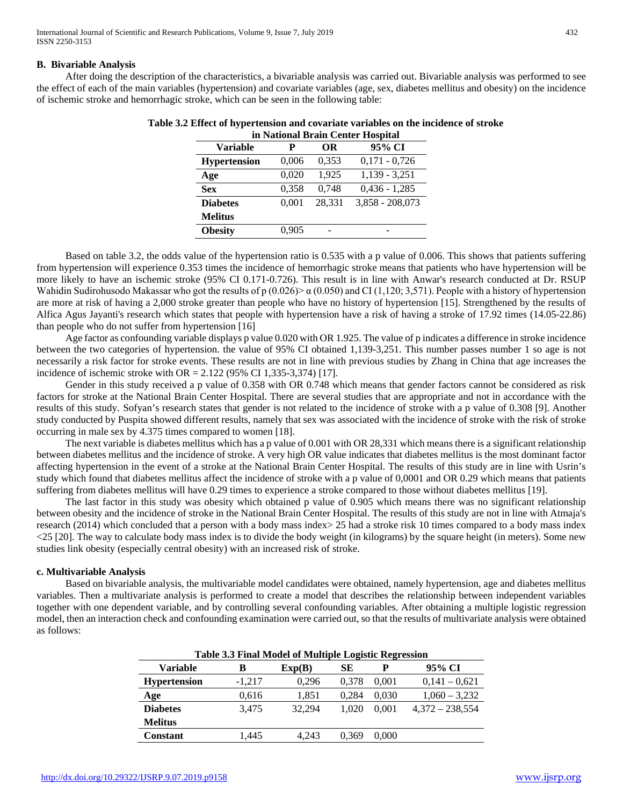## **B. Bivariable Analysis**

After doing the description of the characteristics, a bivariable analysis was carried out. Bivariable analysis was performed to see the effect of each of the main variables (hypertension) and covariate variables (age, sex, diabetes mellitus and obesity) on the incidence of ischemic stroke and hemorrhagic stroke, which can be seen in the following table:

| in National Brain Center Hospital |       |        |                   |  |  |  |  |
|-----------------------------------|-------|--------|-------------------|--|--|--|--|
| <b>Variable</b>                   |       | OR     | 95% CI            |  |  |  |  |
| <b>Hypertension</b>               | 0,006 | 0.353  | $0,171 - 0,726$   |  |  |  |  |
| Age                               | 0,020 | 1,925  | $1,139 - 3,251$   |  |  |  |  |
| <b>Sex</b>                        | 0,358 | 0,748  | $0,436 - 1,285$   |  |  |  |  |
| <b>Diabetes</b>                   | 0.001 | 28.331 | $3,858 - 208,073$ |  |  |  |  |
| <b>Melitus</b>                    |       |        |                   |  |  |  |  |
| <b>Obesity</b>                    | 0,905 |        |                   |  |  |  |  |

| Table 3.2 Effect of hypertension and covariate variables on the incidence of stroke |  |                                                                  |  |  |
|-------------------------------------------------------------------------------------|--|------------------------------------------------------------------|--|--|
|                                                                                     |  | $\mathbf{M}$ $\mathbf{M}$ $\mathbf{M}$ $\mathbf{M}$ $\mathbf{M}$ |  |  |

Based on table 3.2, the odds value of the hypertension ratio is 0.535 with a p value of 0.006. This shows that patients suffering from hypertension will experience 0.353 times the incidence of hemorrhagic stroke means that patients who have hypertension will be more likely to have an ischemic stroke (95% CI 0.171-0.726). This result is in line with Anwar's research conducted at Dr. RSUP Wahidin Sudirohusodo Makassar who got the results of p  $(0.026)$  and CI (1,120; 3,571). People with a history of hypertension are more at risk of having a 2,000 stroke greater than people who have no history of hypertension [15]. Strengthened by the results of Alfica Agus Jayanti's research which states that people with hypertension have a risk of having a stroke of 17.92 times (14.05-22.86) than people who do not suffer from hypertension [16]

Age factor as confounding variable displays p value 0.020 with OR 1.925. The value of p indicates a difference in stroke incidence between the two categories of hypertension. the value of 95% CI obtained 1,139-3,251. This number passes number 1 so age is not necessarily a risk factor for stroke events. These results are not in line with previous studies by Zhang in China that age increases the incidence of ischemic stroke with OR =  $2.122$  (95% CI 1,335-3,374) [17].

Gender in this study received a p value of 0.358 with OR 0.748 which means that gender factors cannot be considered as risk factors for stroke at the National Brain Center Hospital. There are several studies that are appropriate and not in accordance with the results of this study. Sofyan's research states that gender is not related to the incidence of stroke with a p value of 0.308 [9]. Another study conducted by Puspita showed different results, namely that sex was associated with the incidence of stroke with the risk of stroke occurring in male sex by 4.375 times compared to women [18].

The next variable is diabetes mellitus which has a p value of 0.001 with OR 28,331 which means there is a significant relationship between diabetes mellitus and the incidence of stroke. A very high OR value indicates that diabetes mellitus is the most dominant factor affecting hypertension in the event of a stroke at the National Brain Center Hospital. The results of this study are in line with Usrin's study which found that diabetes mellitus affect the incidence of stroke with a p value of 0,0001 and OR 0.29 which means that patients suffering from diabetes mellitus will have 0.29 times to experience a stroke compared to those without diabetes mellitus [19].

The last factor in this study was obesity which obtained p value of 0.905 which means there was no significant relationship between obesity and the incidence of stroke in the National Brain Center Hospital. The results of this study are not in line with Atmaja's research (2014) which concluded that a person with a body mass index> 25 had a stroke risk 10 times compared to a body mass index <25 [20]. The way to calculate body mass index is to divide the body weight (in kilograms) by the square height (in meters). Some new studies link obesity (especially central obesity) with an increased risk of stroke.

## **c. Multivariable Analysis**

Based on bivariable analysis, the multivariable model candidates were obtained, namely hypertension, age and diabetes mellitus variables. Then a multivariate analysis is performed to create a model that describes the relationship between independent variables together with one dependent variable, and by controlling several confounding variables. After obtaining a multiple logistic regression model, then an interaction check and confounding examination were carried out, so that the results of multivariate analysis were obtained as follows:

| Table 3.3 Final Model of Multiple Logistic Regression |          |        |       |       |                   |  |  |
|-------------------------------------------------------|----------|--------|-------|-------|-------------------|--|--|
| Variable                                              | В        | Exp(B) | SЕ    | P     | 95% CI            |  |  |
| <b>Hypertension</b>                                   | $-1,217$ | 0,296  | 0.378 | 0,001 | $0,141 - 0,621$   |  |  |
| Age                                                   | 0,616    | 1,851  | 0.284 | 0,030 | $1,060 - 3,232$   |  |  |
| <b>Diabetes</b>                                       | 3.475    | 32.294 | 1.020 | 0.001 | $4,372 - 238,554$ |  |  |
| <b>Melitus</b>                                        |          |        |       |       |                   |  |  |
| <b>Constant</b>                                       | 1,445    | 4.243  | 0.369 | 0.000 |                   |  |  |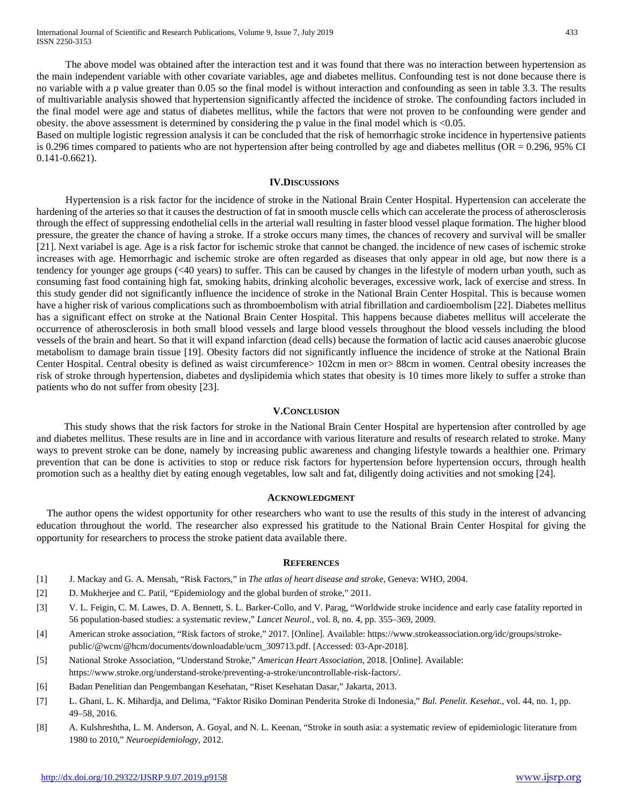The above model was obtained after the interaction test and it was found that there was no interaction between hypertension as the main independent variable with other covariate variables, age and diabetes mellitus. Confounding test is not done because there is no variable with a p value greater than 0.05 so the final model is without interaction and confounding as seen in table 3.3. The results of multivariable analysis showed that hypertension significantly affected the incidence of stroke. The confounding factors included in the final model were age and status of diabetes mellitus, while the factors that were not proven to be confounding were gender and obesity. the above assessment is determined by considering the p value in the final model which is <0.05.

Based on multiple logistic regression analysis it can be concluded that the risk of hemorrhagic stroke incidence in hypertensive patients is 0.296 times compared to patients who are not hypertension after being controlled by age and diabetes mellitus (OR = 0.296, 95% CI 0.141-0.6621).

#### **IV.DISCUSSIONS**

Hypertension is a risk factor for the incidence of stroke in the National Brain Center Hospital. Hypertension can accelerate the hardening of the arteries so that it causes the destruction of fat in smooth muscle cells which can accelerate the process of atherosclerosis through the effect of suppressing endothelial cells in the arterial wall resulting in faster blood vessel plaque formation. The higher blood pressure, the greater the chance of having a stroke. If a stroke occurs many times, the chances of recovery and survival will be smaller [21]. Next variabel is age. Age is a risk factor for ischemic stroke that cannot be changed. the incidence of new cases of ischemic stroke increases with age. Hemorrhagic and ischemic stroke are often regarded as diseases that only appear in old age, but now there is a tendency for younger age groups (<40 years) to suffer. This can be caused by changes in the lifestyle of modern urban youth, such as consuming fast food containing high fat, smoking habits, drinking alcoholic beverages, excessive work, lack of exercise and stress. In this study gender did not significantly influence the incidence of stroke in the National Brain Center Hospital. This is because women have a higher risk of various complications such as thromboembolism with atrial fibrillation and cardioembolism [22]. Diabetes mellitus has a significant effect on stroke at the National Brain Center Hospital. This happens because diabetes mellitus will accelerate the occurrence of atherosclerosis in both small blood vessels and large blood vessels throughout the blood vessels including the blood vessels of the brain and heart. So that it will expand infarction (dead cells) because the formation of lactic acid causes anaerobic glucose metabolism to damage brain tissue [19]. Obesity factors did not significantly influence the incidence of stroke at the National Brain Center Hospital. Central obesity is defined as waist circumference> 102cm in men or> 88cm in women. Central obesity increases the risk of stroke through hypertension, diabetes and dyslipidemia which states that obesity is 10 times more likely to suffer a stroke than patients who do not suffer from obesity [23].

## **V.CONCLUSION**

This study shows that the risk factors for stroke in the National Brain Center Hospital are hypertension after controlled by age and diabetes mellitus. These results are in line and in accordance with various literature and results of research related to stroke. Many ways to prevent stroke can be done, namely by increasing public awareness and changing lifestyle towards a healthier one. Primary prevention that can be done is activities to stop or reduce risk factors for hypertension before hypertension occurs, through health promotion such as a healthy diet by eating enough vegetables, low salt and fat, diligently doing activities and not smoking [24].

## **ACKNOWLEDGMENT**

The author opens the widest opportunity for other researchers who want to use the results of this study in the interest of advancing education throughout the world. The researcher also expressed his gratitude to the National Brain Center Hospital for giving the opportunity for researchers to process the stroke patient data available there.

## **REFERENCES**

- [1] J. Mackay and G. A. Mensah, "Risk Factors," in *The atlas of heart disease and stroke*, Geneva: WHO, 2004.
- [2] D. Mukherjee and C. Patil, "Epidemiology and the global burden of stroke," 2011.
- [3] V. L. Feigin, C. M. Lawes, D. A. Bennett, S. L. Barker-Collo, and V. Parag, "Worldwide stroke incidence and early case fatality reported in 56 population-based studies: a systematic review," *Lancet Neurol.*, vol. 8, no. 4, pp. 355–369, 2009.
- [4] American stroke association, "Risk factors of stroke," 2017. [Online]. Available: https://www.strokeassociation.org/idc/groups/strokepublic/@wcm/@hcm/documents/downloadable/ucm\_309713.pdf. [Accessed: 03-Apr-2018].
- [5] National Stroke Association, "Understand Stroke," *American Heart Association*, 2018. [Online]. Available: https://www.stroke.org/understand-stroke/preventing-a-stroke/uncontrollable-risk-factors/.
- [6] Badan Penelitian dan Pengembangan Kesehatan, "Riset Kesehatan Dasar," Jakarta, 2013.
- [7] L. Ghani, L. K. Mihardja, and Delima, "Faktor Risiko Dominan Penderita Stroke di Indonesia," *Bul. Penelit. Kesehat.*, vol. 44, no. 1, pp. 49–58, 2016.
- [8] A. Kulshreshtha, L. M. Anderson, A. Goyal, and N. L. Keenan, "Stroke in south asia: a systematic review of epidemiologic literature from 1980 to 2010," *Neuroepidemiology*, 2012.